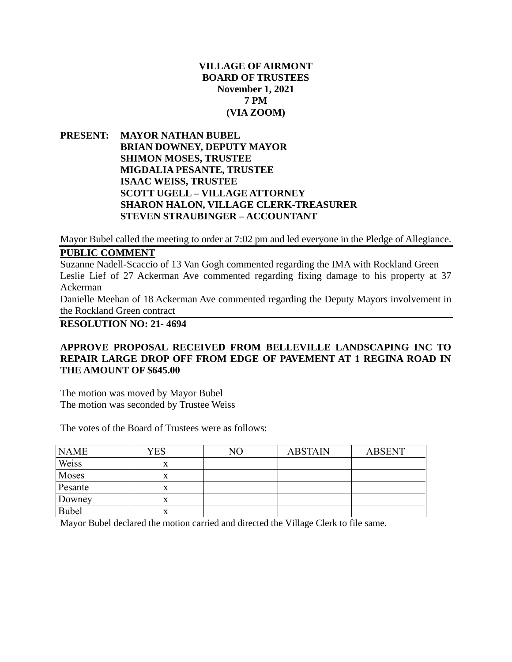# **VILLAGE OF AIRMONT BOARD OF TRUSTEES November 1, 2021 7 PM (VIA ZOOM)**

**PRESENT: MAYOR NATHAN BUBEL BRIAN DOWNEY, DEPUTY MAYOR SHIMON MOSES, TRUSTEE MIGDALIA PESANTE, TRUSTEE ISAAC WEISS, TRUSTEE SCOTT UGELL – VILLAGE ATTORNEY SHARON HALON, VILLAGE CLERK-TREASURER STEVEN STRAUBINGER – ACCOUNTANT**

Mayor Bubel called the meeting to order at 7:02 pm and led everyone in the Pledge of Allegiance.

# **PUBLIC COMMENT**

Suzanne Nadell-Scaccio of 13 Van Gogh commented regarding the IMA with Rockland Green Leslie Lief of 27 Ackerman Ave commented regarding fixing damage to his property at 37 Ackerman

Danielle Meehan of 18 Ackerman Ave commented regarding the Deputy Mayors involvement in the Rockland Green contract

**RESOLUTION NO: 21- 4694**

# **APPROVE PROPOSAL RECEIVED FROM BELLEVILLE LANDSCAPING INC TO REPAIR LARGE DROP OFF FROM EDGE OF PAVEMENT AT 1 REGINA ROAD IN THE AMOUNT OF \$645.00**

The motion was moved by Mayor Bubel The motion was seconded by Trustee Weiss

The votes of the Board of Trustees were as follows:

| <b>NAME</b>  | YES | NΟ | <b>ABSTAIN</b> | <b>ABSENT</b> |
|--------------|-----|----|----------------|---------------|
| Weiss        | X   |    |                |               |
| Moses        |     |    |                |               |
| Pesante      |     |    |                |               |
| Downey       |     |    |                |               |
| <b>Bubel</b> | x   |    |                |               |

Mayor Bubel declared the motion carried and directed the Village Clerk to file same.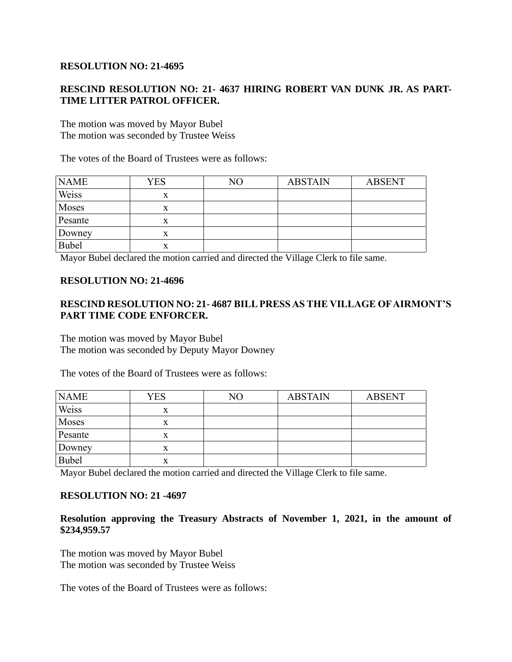## **RESOLUTION NO: 21-4695**

# **RESCIND RESOLUTION NO: 21- 4637 HIRING ROBERT VAN DUNK JR. AS PART-TIME LITTER PATROL OFFICER.**

The motion was moved by Mayor Bubel The motion was seconded by Trustee Weiss

The votes of the Board of Trustees were as follows:

| <b>NAME</b>  | <b>YES</b> | NΟ | <b>ABSTAIN</b> | <b>ABSENT</b> |
|--------------|------------|----|----------------|---------------|
| Weiss        | x          |    |                |               |
| Moses        | л          |    |                |               |
| Pesante      | x          |    |                |               |
| Downey       | X          |    |                |               |
| <b>Bubel</b> | x          |    |                |               |

Mayor Bubel declared the motion carried and directed the Village Clerk to file same.

### **RESOLUTION NO: 21-4696**

# **RESCIND RESOLUTION NO: 21- 4687 BILL PRESS AS THE VILLAGE OF AIRMONT'S PART TIME CODE ENFORCER.**

The motion was moved by Mayor Bubel The motion was seconded by Deputy Mayor Downey

The votes of the Board of Trustees were as follows:

| <b>NAME</b>  | <b>YES</b> | NO | <b>ABSTAIN</b> | <b>ABSENT</b> |
|--------------|------------|----|----------------|---------------|
| Weiss        | X          |    |                |               |
| Moses        | X          |    |                |               |
| Pesante      | x          |    |                |               |
| Downey       | x          |    |                |               |
| <b>Bubel</b> | x          |    |                |               |

Mayor Bubel declared the motion carried and directed the Village Clerk to file same.

# **RESOLUTION NO: 21 -4697**

#### **Resolution approving the Treasury Abstracts of November 1, 2021, in the amount of \$234,959.57**

The motion was moved by Mayor Bubel The motion was seconded by Trustee Weiss

The votes of the Board of Trustees were as follows: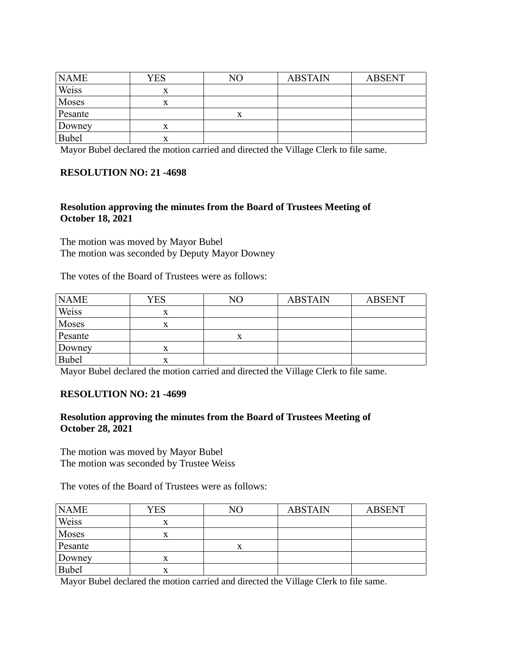| <b>NAME</b>  | YES       | NΟ | <b>ABSTAIN</b> | <b>ABSENT</b> |
|--------------|-----------|----|----------------|---------------|
| Weiss        | x         |    |                |               |
| Moses        |           |    |                |               |
| Pesante      |           |    |                |               |
| Downey       | $\Lambda$ |    |                |               |
| <b>Bubel</b> | x         |    |                |               |

Mayor Bubel declared the motion carried and directed the Village Clerk to file same.

### **RESOLUTION NO: 21 -4698**

## **Resolution approving the minutes from the Board of Trustees Meeting of October 18, 2021**

The motion was moved by Mayor Bubel The motion was seconded by Deputy Mayor Downey

The votes of the Board of Trustees were as follows:

| <b>NAME</b> | YES    | NΟ | <b>ABSTAIN</b> | <b>ABSENT</b> |
|-------------|--------|----|----------------|---------------|
| Weiss       | X      |    |                |               |
| Moses       | x      |    |                |               |
| Pesante     |        |    |                |               |
| Downey      |        |    |                |               |
| Bubel       | v<br>л |    |                |               |

Mayor Bubel declared the motion carried and directed the Village Clerk to file same.

### **RESOLUTION NO: 21 -4699**

### **Resolution approving the minutes from the Board of Trustees Meeting of October 28, 2021**

The motion was moved by Mayor Bubel The motion was seconded by Trustee Weiss

The votes of the Board of Trustees were as follows:

| <b>NAME</b>  | <b>YES</b> | NO        | <b>ABSTAIN</b> | <b>ABSENT</b> |
|--------------|------------|-----------|----------------|---------------|
| Weiss        | x          |           |                |               |
| Moses        | л          |           |                |               |
| Pesante      |            | $\Lambda$ |                |               |
| Downey       |            |           |                |               |
| <b>Bubel</b> | л          |           |                |               |

Mayor Bubel declared the motion carried and directed the Village Clerk to file same.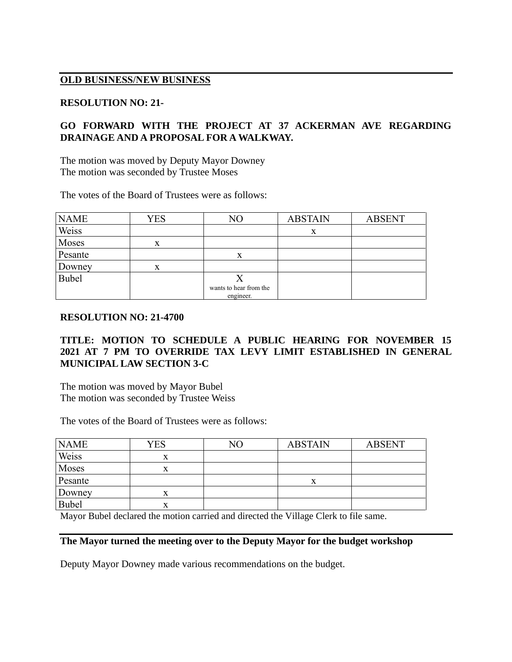# **OLD BUSINESS/NEW BUSINESS**

### **RESOLUTION NO: 21-**

# **GO FORWARD WITH THE PROJECT AT 37 ACKERMAN AVE REGARDING DRAINAGE AND A PROPOSAL FOR A WALKWAY.**

The motion was moved by Deputy Mayor Downey The motion was seconded by Trustee Moses

The votes of the Board of Trustees were as follows:

| <b>NAME</b>  | <b>YES</b> | NO                     | <b>ABSTAIN</b> | <b>ABSENT</b> |
|--------------|------------|------------------------|----------------|---------------|
| Weiss        |            |                        | X              |               |
| Moses        | X          |                        |                |               |
| Pesante      |            | X                      |                |               |
| Downey       | x          |                        |                |               |
| <b>Bubel</b> |            |                        |                |               |
|              |            | wants to hear from the |                |               |
|              |            | engineer.              |                |               |

### **RESOLUTION NO: 21-4700**

# **TITLE: MOTION TO SCHEDULE A PUBLIC HEARING FOR NOVEMBER 15 2021 AT 7 PM TO OVERRIDE TAX LEVY LIMIT ESTABLISHED IN GENERAL MUNICIPAL LAW SECTION 3-C**

The motion was moved by Mayor Bubel The motion was seconded by Trustee Weiss

The votes of the Board of Trustees were as follows:

| <b>NAME</b>  | <b>YES</b> | NΟ | <b>ABSTAIN</b> | <b>ABSENT</b> |
|--------------|------------|----|----------------|---------------|
| Weiss        | л          |    |                |               |
| Moses        | x          |    |                |               |
| Pesante      |            |    | X              |               |
| Downey       |            |    |                |               |
| <b>Bubel</b> |            |    |                |               |

Mayor Bubel declared the motion carried and directed the Village Clerk to file same.

### **The Mayor turned the meeting over to the Deputy Mayor for the budget workshop**

Deputy Mayor Downey made various recommendations on the budget.